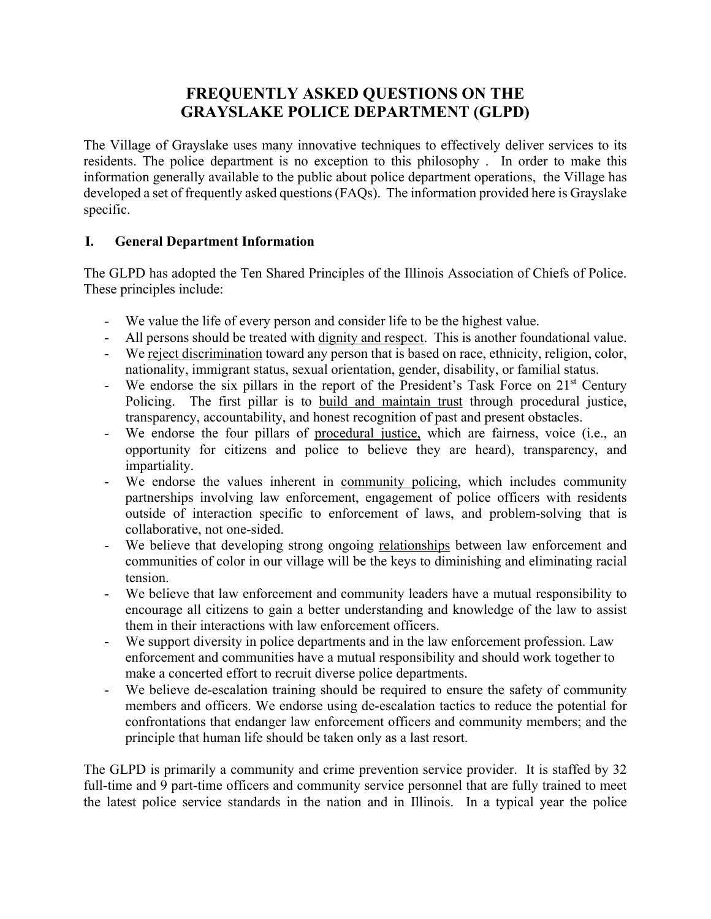## **FREQUENTLY ASKED QUESTIONS ON THE GRAYSLAKE POLICE DEPARTMENT (GLPD)**

The Village of Grayslake uses many innovative techniques to effectively deliver services to its residents. The police department is no exception to this philosophy . In order to make this information generally available to the public about police department operations, the Village has developed a set of frequently asked questions (FAQs). The information provided here is Grayslake specific.

## **I. General Department Information**

The GLPD has adopted the Ten Shared Principles of the Illinois Association of Chiefs of Police. These principles include:

- We value the life of every person and consider life to be the highest value.
- All persons should be treated with dignity and respect. This is another foundational value.
- We reject discrimination toward any person that is based on race, ethnicity, religion, color, nationality, immigrant status, sexual orientation, gender, disability, or familial status.
- We endorse the six pillars in the report of the President's Task Force on  $21<sup>st</sup>$  Century Policing. The first pillar is to build and maintain trust through procedural justice, transparency, accountability, and honest recognition of past and present obstacles.
- We endorse the four pillars of procedural justice, which are fairness, voice (i.e., an opportunity for citizens and police to believe they are heard), transparency, and impartiality.
- We endorse the values inherent in community policing, which includes community partnerships involving law enforcement, engagement of police officers with residents outside of interaction specific to enforcement of laws, and problem-solving that is collaborative, not one-sided.
- We believe that developing strong ongoing relationships between law enforcement and communities of color in our village will be the keys to diminishing and eliminating racial tension.
- We believe that law enforcement and community leaders have a mutual responsibility to encourage all citizens to gain a better understanding and knowledge of the law to assist them in their interactions with law enforcement officers.
- We support diversity in police departments and in the law enforcement profession. Law enforcement and communities have a mutual responsibility and should work together to make a concerted effort to recruit diverse police departments.
- We believe de-escalation training should be required to ensure the safety of community members and officers. We endorse using de-escalation tactics to reduce the potential for confrontations that endanger law enforcement officers and community members; and the principle that human life should be taken only as a last resort.

The GLPD is primarily a community and crime prevention service provider. It is staffed by 32 full-time and 9 part-time officers and community service personnel that are fully trained to meet the latest police service standards in the nation and in Illinois. In a typical year the police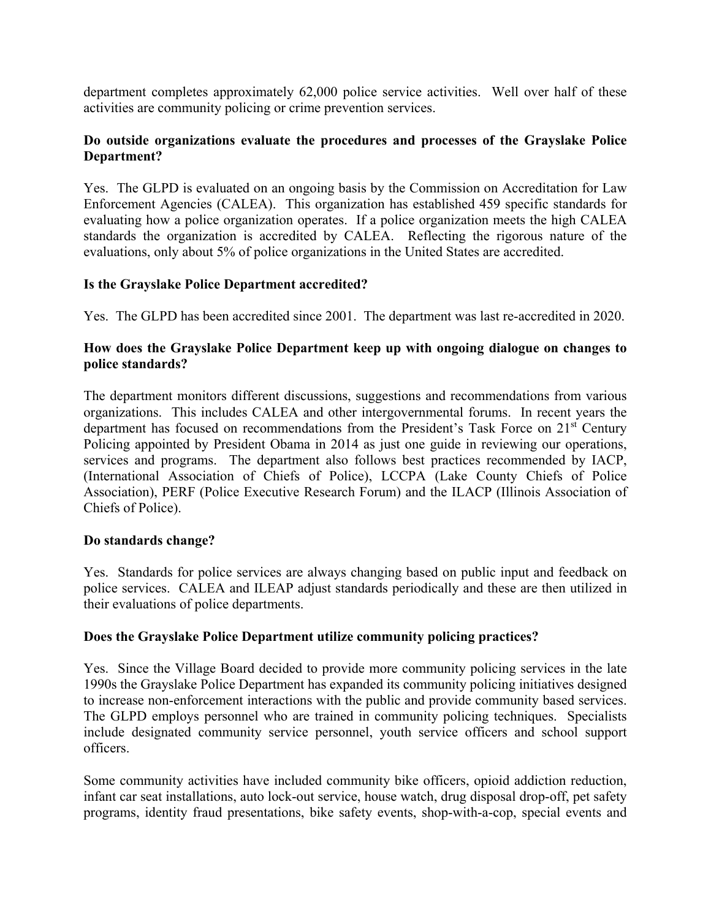department completes approximately 62,000 police service activities. Well over half of these activities are community policing or crime prevention services.

## **Do outside organizations evaluate the procedures and processes of the Grayslake Police Department?**

Yes. The GLPD is evaluated on an ongoing basis by the Commission on Accreditation for Law Enforcement Agencies (CALEA). This organization has established 459 specific standards for evaluating how a police organization operates. If a police organization meets the high CALEA standards the organization is accredited by CALEA. Reflecting the rigorous nature of the evaluations, only about 5% of police organizations in the United States are accredited.

## **Is the Grayslake Police Department accredited?**

Yes. The GLPD has been accredited since 2001. The department was last re-accredited in 2020.

## **How does the Grayslake Police Department keep up with ongoing dialogue on changes to police standards?**

The department monitors different discussions, suggestions and recommendations from various organizations. This includes CALEA and other intergovernmental forums. In recent years the department has focused on recommendations from the President's Task Force on 21<sup>st</sup> Century Policing appointed by President Obama in 2014 as just one guide in reviewing our operations, services and programs. The department also follows best practices recommended by IACP, (International Association of Chiefs of Police), LCCPA (Lake County Chiefs of Police Association), PERF (Police Executive Research Forum) and the ILACP (Illinois Association of Chiefs of Police).

### **Do standards change?**

Yes. Standards for police services are always changing based on public input and feedback on police services. CALEA and ILEAP adjust standards periodically and these are then utilized in their evaluations of police departments.

### **Does the Grayslake Police Department utilize community policing practices?**

Yes. Since the Village Board decided to provide more community policing services in the late 1990s the Grayslake Police Department has expanded its community policing initiatives designed to increase non-enforcement interactions with the public and provide community based services. The GLPD employs personnel who are trained in community policing techniques. Specialists include designated community service personnel, youth service officers and school support officers.

Some community activities have included community bike officers, opioid addiction reduction, infant car seat installations, auto lock-out service, house watch, drug disposal drop-off, pet safety programs, identity fraud presentations, bike safety events, shop-with-a-cop, special events and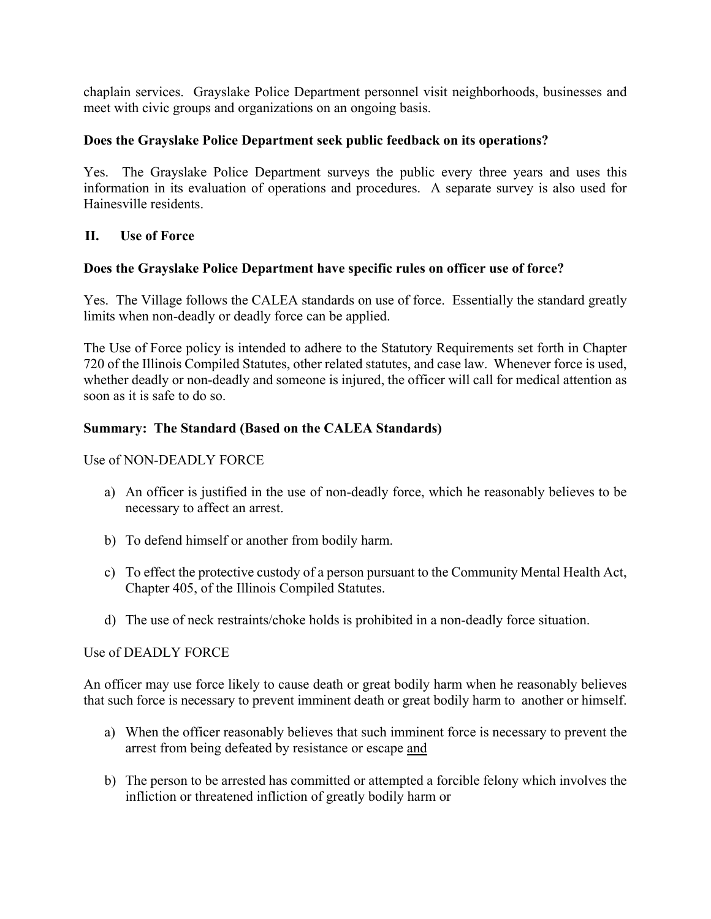chaplain services. Grayslake Police Department personnel visit neighborhoods, businesses and meet with civic groups and organizations on an ongoing basis.

## **Does the Grayslake Police Department seek public feedback on its operations?**

Yes. The Grayslake Police Department surveys the public every three years and uses this information in its evaluation of operations and procedures. A separate survey is also used for Hainesville residents.

## **II. Use of Force**

## **Does the Grayslake Police Department have specific rules on officer use of force?**

Yes. The Village follows the CALEA standards on use of force. Essentially the standard greatly limits when non-deadly or deadly force can be applied.

The Use of Force policy is intended to adhere to the Statutory Requirements set forth in Chapter 720 of the Illinois Compiled Statutes, other related statutes, and case law. Whenever force is used, whether deadly or non-deadly and someone is injured, the officer will call for medical attention as soon as it is safe to do so.

### **Summary: The Standard (Based on the CALEA Standards)**

Use of NON-DEADLY FORCE

- a) An officer is justified in the use of non-deadly force, which he reasonably believes to be necessary to affect an arrest.
- b) To defend himself or another from bodily harm.
- c) To effect the protective custody of a person pursuant to the Community Mental Health Act, Chapter 405, of the Illinois Compiled Statutes.
- d) The use of neck restraints/choke holds is prohibited in a non-deadly force situation.

#### Use of DEADLY FORCE

An officer may use force likely to cause death or great bodily harm when he reasonably believes that such force is necessary to prevent imminent death or great bodily harm to another or himself.

- a) When the officer reasonably believes that such imminent force is necessary to prevent the arrest from being defeated by resistance or escape and
- b) The person to be arrested has committed or attempted a forcible felony which involves the infliction or threatened infliction of greatly bodily harm or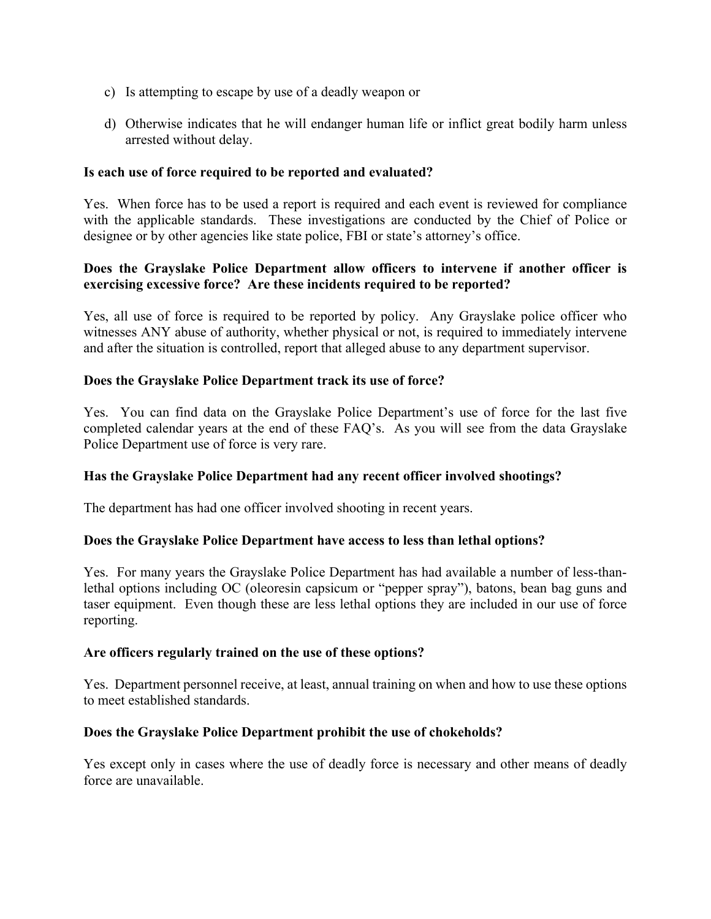- c) Is attempting to escape by use of a deadly weapon or
- d) Otherwise indicates that he will endanger human life or inflict great bodily harm unless arrested without delay.

## **Is each use of force required to be reported and evaluated?**

Yes. When force has to be used a report is required and each event is reviewed for compliance with the applicable standards. These investigations are conducted by the Chief of Police or designee or by other agencies like state police, FBI or state's attorney's office.

## **Does the Grayslake Police Department allow officers to intervene if another officer is exercising excessive force? Are these incidents required to be reported?**

Yes, all use of force is required to be reported by policy. Any Grayslake police officer who witnesses ANY abuse of authority, whether physical or not, is required to immediately intervene and after the situation is controlled, report that alleged abuse to any department supervisor.

### **Does the Grayslake Police Department track its use of force?**

Yes. You can find data on the Grayslake Police Department's use of force for the last five completed calendar years at the end of these FAQ's. As you will see from the data Grayslake Police Department use of force is very rare.

### **Has the Grayslake Police Department had any recent officer involved shootings?**

The department has had one officer involved shooting in recent years.

### **Does the Grayslake Police Department have access to less than lethal options?**

Yes. For many years the Grayslake Police Department has had available a number of less-thanlethal options including OC (oleoresin capsicum or "pepper spray"), batons, bean bag guns and taser equipment. Even though these are less lethal options they are included in our use of force reporting.

### **Are officers regularly trained on the use of these options?**

Yes. Department personnel receive, at least, annual training on when and how to use these options to meet established standards.

### **Does the Grayslake Police Department prohibit the use of chokeholds?**

Yes except only in cases where the use of deadly force is necessary and other means of deadly force are unavailable.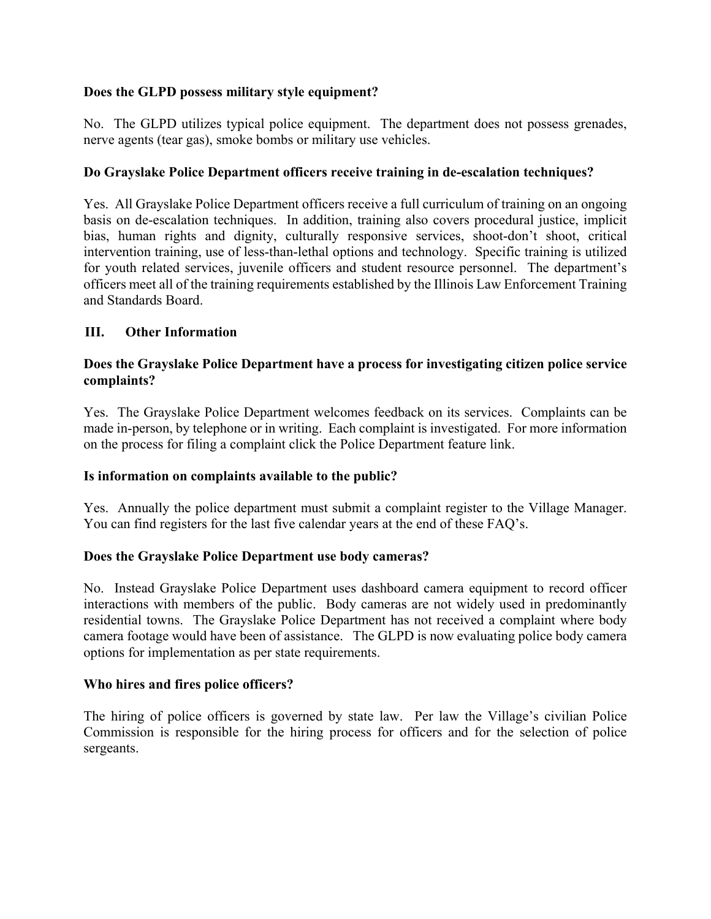## **Does the GLPD possess military style equipment?**

No. The GLPD utilizes typical police equipment. The department does not possess grenades, nerve agents (tear gas), smoke bombs or military use vehicles.

## **Do Grayslake Police Department officers receive training in de-escalation techniques?**

Yes. All Grayslake Police Department officers receive a full curriculum of training on an ongoing basis on de-escalation techniques. In addition, training also covers procedural justice, implicit bias, human rights and dignity, culturally responsive services, shoot-don't shoot, critical intervention training, use of less-than-lethal options and technology. Specific training is utilized for youth related services, juvenile officers and student resource personnel. The department's officers meet all of the training requirements established by the Illinois Law Enforcement Training and Standards Board.

## **III. Other Information**

### **Does the Grayslake Police Department have a process for investigating citizen police service complaints?**

Yes. The Grayslake Police Department welcomes feedback on its services. Complaints can be made in-person, by telephone or in writing. Each complaint is investigated. For more information on the process for filing a complaint click the Police Department feature link.

### **Is information on complaints available to the public?**

Yes. Annually the police department must submit a complaint register to the Village Manager. You can find registers for the last five calendar years at the end of these FAQ's.

### **Does the Grayslake Police Department use body cameras?**

No. Instead Grayslake Police Department uses dashboard camera equipment to record officer interactions with members of the public. Body cameras are not widely used in predominantly residential towns. The Grayslake Police Department has not received a complaint where body camera footage would have been of assistance. The GLPD is now evaluating police body camera options for implementation as per state requirements.

### **Who hires and fires police officers?**

The hiring of police officers is governed by state law. Per law the Village's civilian Police Commission is responsible for the hiring process for officers and for the selection of police sergeants.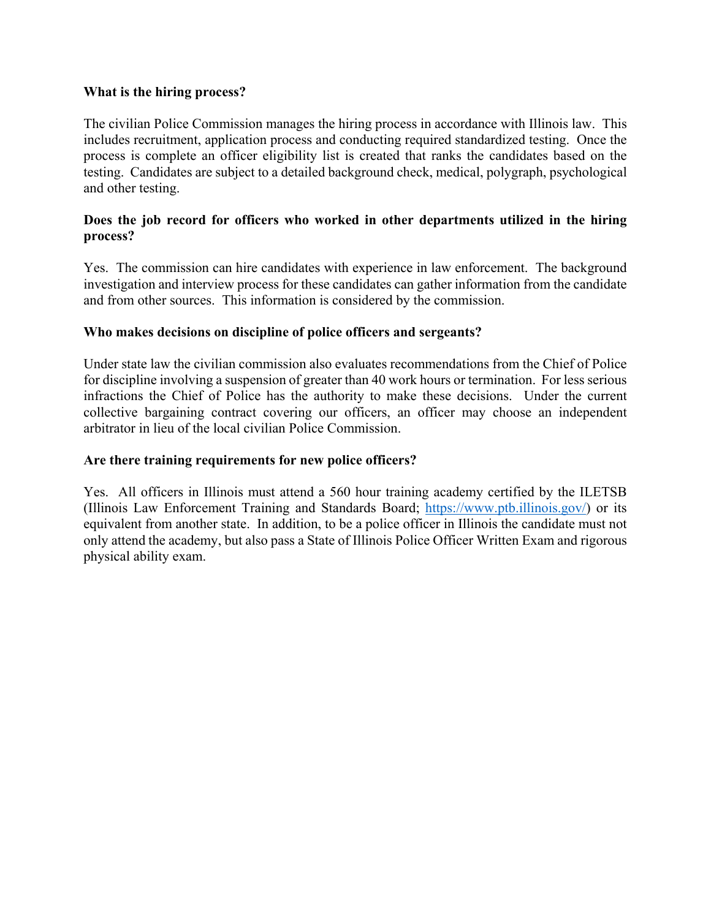### **What is the hiring process?**

The civilian Police Commission manages the hiring process in accordance with Illinois law. This includes recruitment, application process and conducting required standardized testing. Once the process is complete an officer eligibility list is created that ranks the candidates based on the testing. Candidates are subject to a detailed background check, medical, polygraph, psychological and other testing.

## **Does the job record for officers who worked in other departments utilized in the hiring process?**

Yes. The commission can hire candidates with experience in law enforcement. The background investigation and interview process for these candidates can gather information from the candidate and from other sources. This information is considered by the commission.

## **Who makes decisions on discipline of police officers and sergeants?**

Under state law the civilian commission also evaluates recommendations from the Chief of Police for discipline involving a suspension of greater than 40 work hours or termination. For less serious infractions the Chief of Police has the authority to make these decisions. Under the current collective bargaining contract covering our officers, an officer may choose an independent arbitrator in lieu of the local civilian Police Commission.

### **Are there training requirements for new police officers?**

Yes. All officers in Illinois must attend a 560 hour training academy certified by the ILETSB (Illinois Law Enforcement Training and Standards Board; https://www.ptb.illinois.gov/) or its equivalent from another state. In addition, to be a police officer in Illinois the candidate must not only attend the academy, but also pass a State of Illinois Police Officer Written Exam and rigorous physical ability exam.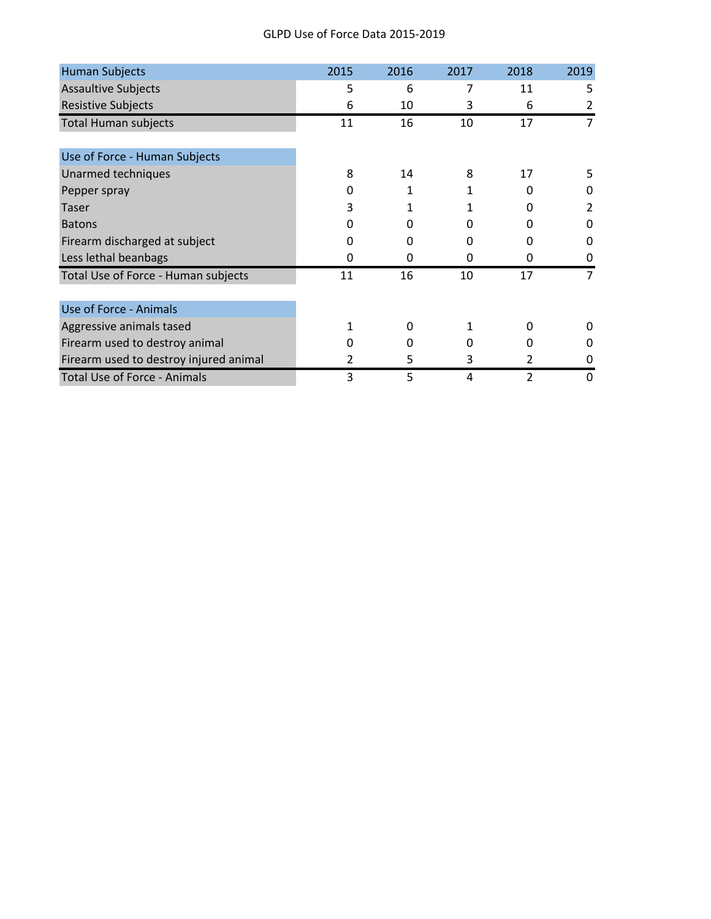#### GLPD Use of Force Data 2015‐2019

| <b>Human Subjects</b>                  | 2015 | 2016         | 2017 | 2018         | 2019 |
|----------------------------------------|------|--------------|------|--------------|------|
| <b>Assaultive Subjects</b>             | 5    | 6            | 7    | 11           | 5    |
| <b>Resistive Subjects</b>              | 6    | 10           | 3    | 6            | 2    |
| <b>Total Human subjects</b>            | 11   | 16           | 10   | 17           | 7    |
|                                        |      |              |      |              |      |
| Use of Force - Human Subjects          |      |              |      |              |      |
| Unarmed techniques                     | 8    | 14           | 8    | 17           | 5    |
| Pepper spray                           | 0    | 1            |      | 0            | 0    |
| <b>Taser</b>                           | 3    | 1            | 1    | 0            | 2    |
| <b>Batons</b>                          | 0    | <sup>0</sup> | o    | U            | 0    |
| Firearm discharged at subject          | 0    | 0            | 0    | 0            | 0    |
| Less lethal beanbags                   | 0    | 0            | 0    | 0            | 0    |
| Total Use of Force - Human subjects    | 11   | 16           | 10   | 17           | 7    |
| Use of Force - Animals                 |      |              |      |              |      |
| Aggressive animals tased               | 1    | <sup>0</sup> | 1    | <sup>0</sup> | O    |
| Firearm used to destroy animal         | O    | <sup>0</sup> | U    | <sup>0</sup> | 0    |
| Firearm used to destroy injured animal | 2    | 5            | 3    | 2            | Ω    |
| Total Use of Force - Animals           | 3    | 5            | 4    | 2            | 0    |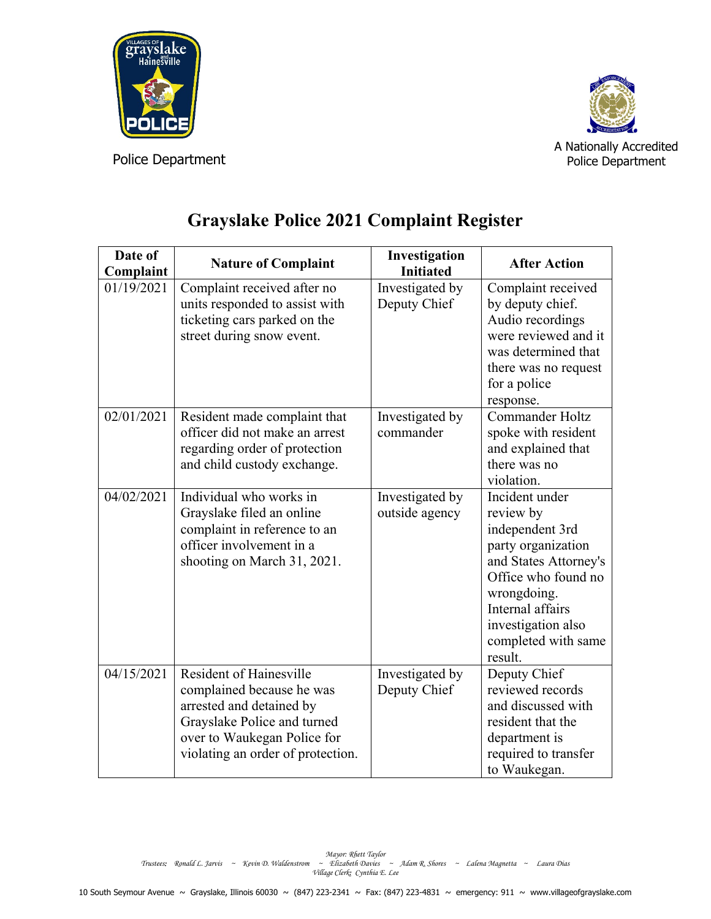



A Nationally Accredited Police Department

| Date of<br>Complaint | <b>Nature of Complaint</b>                                                                                                                                                                 | Investigation<br><b>Initiated</b> | <b>After Action</b>                                                                                                                                                                                             |
|----------------------|--------------------------------------------------------------------------------------------------------------------------------------------------------------------------------------------|-----------------------------------|-----------------------------------------------------------------------------------------------------------------------------------------------------------------------------------------------------------------|
| 01/19/2021           | Complaint received after no<br>units responded to assist with<br>ticketing cars parked on the<br>street during snow event.                                                                 | Investigated by<br>Deputy Chief   | Complaint received<br>by deputy chief.<br>Audio recordings<br>were reviewed and it<br>was determined that<br>there was no request<br>for a police<br>response.                                                  |
| 02/01/2021           | Resident made complaint that<br>officer did not make an arrest<br>regarding order of protection<br>and child custody exchange.                                                             | Investigated by<br>commander      | Commander Holtz<br>spoke with resident<br>and explained that<br>there was no<br>violation.                                                                                                                      |
| 04/02/2021           | Individual who works in<br>Grayslake filed an online<br>complaint in reference to an<br>officer involvement in a<br>shooting on March 31, 2021.                                            | Investigated by<br>outside agency | Incident under<br>review by<br>independent 3rd<br>party organization<br>and States Attorney's<br>Office who found no<br>wrongdoing.<br>Internal affairs<br>investigation also<br>completed with same<br>result. |
| 04/15/2021           | <b>Resident of Hainesville</b><br>complained because he was<br>arrested and detained by<br>Grayslake Police and turned<br>over to Waukegan Police for<br>violating an order of protection. | Investigated by<br>Deputy Chief   | Deputy Chief<br>reviewed records<br>and discussed with<br>resident that the<br>department is<br>required to transfer<br>to Waukegan.                                                                            |

# **Grayslake Police 2021 Complaint Register**

Mayor: Rhett Taylor<br>Trustees: Ronald L. Jarvis ~ Kevin D. Waldenstrom ~ Elizabeth Davies ~ Adam R. Shores ~ Lalena Magnetta ~ Laura Dias<br>Village Clerk: Cynthia E. Lee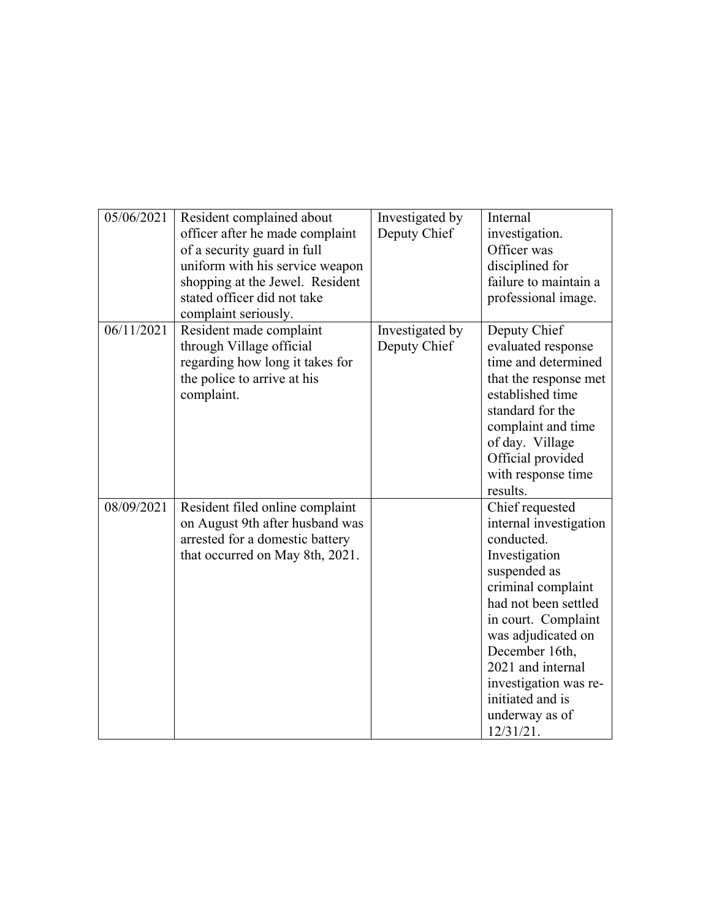| 05/06/2021 | Resident complained about<br>officer after he made complaint<br>of a security guard in full<br>uniform with his service weapon<br>shopping at the Jewel. Resident<br>stated officer did not take<br>complaint seriously. | Investigated by<br>Deputy Chief | Internal<br>investigation.<br>Officer was<br>disciplined for<br>failure to maintain a<br>professional image.                                                                                                                                                                                           |
|------------|--------------------------------------------------------------------------------------------------------------------------------------------------------------------------------------------------------------------------|---------------------------------|--------------------------------------------------------------------------------------------------------------------------------------------------------------------------------------------------------------------------------------------------------------------------------------------------------|
| 06/11/2021 | Resident made complaint<br>through Village official<br>regarding how long it takes for<br>the police to arrive at his<br>complaint.                                                                                      | Investigated by<br>Deputy Chief | Deputy Chief<br>evaluated response<br>time and determined<br>that the response met<br>established time<br>standard for the<br>complaint and time<br>of day. Village<br>Official provided<br>with response time<br>results.                                                                             |
| 08/09/2021 | Resident filed online complaint<br>on August 9th after husband was<br>arrested for a domestic battery<br>that occurred on May 8th, 2021.                                                                                 |                                 | Chief requested<br>internal investigation<br>conducted.<br>Investigation<br>suspended as<br>criminal complaint<br>had not been settled<br>in court. Complaint<br>was adjudicated on<br>December 16th,<br>2021 and internal<br>investigation was re-<br>initiated and is<br>underway as of<br>12/31/21. |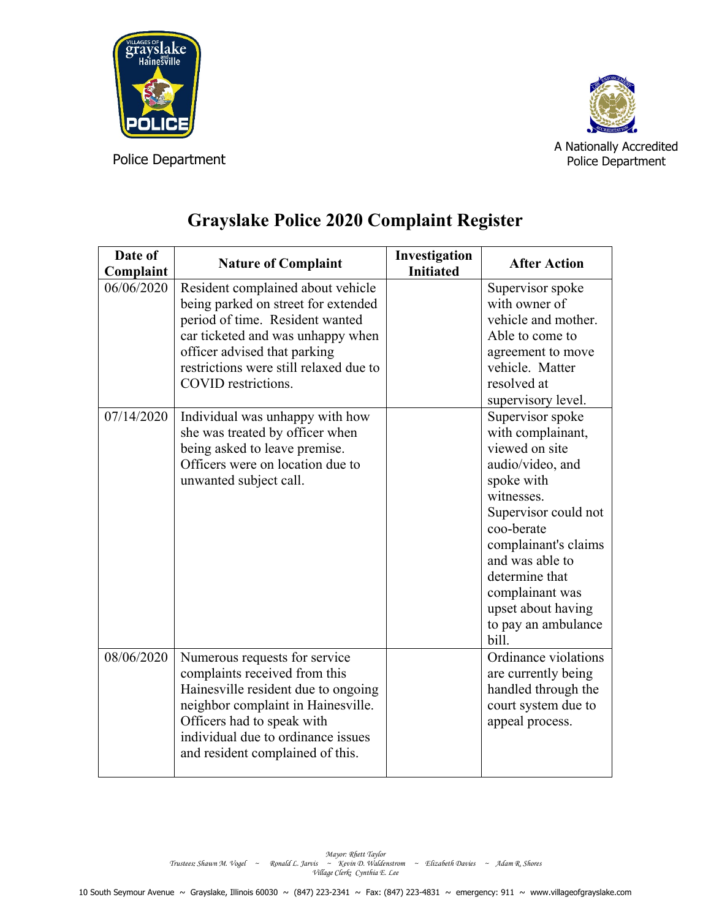



A Nationally Accredited Police Department

| Date of<br>Complaint     | <b>Nature of Complaint</b>                                                                                                                                                                                                                                                                                                                                                                                             | Investigation<br><b>Initiated</b> | <b>After Action</b>                                                                                                                                                                                                                                                                                                                                                                                                                             |
|--------------------------|------------------------------------------------------------------------------------------------------------------------------------------------------------------------------------------------------------------------------------------------------------------------------------------------------------------------------------------------------------------------------------------------------------------------|-----------------------------------|-------------------------------------------------------------------------------------------------------------------------------------------------------------------------------------------------------------------------------------------------------------------------------------------------------------------------------------------------------------------------------------------------------------------------------------------------|
| 06/06/2020<br>07/14/2020 | Resident complained about vehicle<br>being parked on street for extended<br>period of time. Resident wanted<br>car ticketed and was unhappy when<br>officer advised that parking<br>restrictions were still relaxed due to<br>COVID restrictions.<br>Individual was unhappy with how<br>she was treated by officer when<br>being asked to leave premise.<br>Officers were on location due to<br>unwanted subject call. |                                   | Supervisor spoke<br>with owner of<br>vehicle and mother.<br>Able to come to<br>agreement to move<br>vehicle. Matter<br>resolved at<br>supervisory level.<br>Supervisor spoke<br>with complainant,<br>viewed on site<br>audio/video, and<br>spoke with<br>witnesses.<br>Supervisor could not<br>coo-berate<br>complainant's claims<br>and was able to<br>determine that<br>complainant was<br>upset about having<br>to pay an ambulance<br>bill. |
| 08/06/2020               | Numerous requests for service<br>complaints received from this<br>Hainesville resident due to ongoing<br>neighbor complaint in Hainesville.<br>Officers had to speak with<br>individual due to ordinance issues<br>and resident complained of this.                                                                                                                                                                    |                                   | Ordinance violations<br>are currently being<br>handled through the<br>court system due to<br>appeal process.                                                                                                                                                                                                                                                                                                                                    |

# **Grayslake Police 2020 Complaint Register**

Mayor: Rhett Taylor<br>Trustees: Shawn M. Vogel ~ Ronald L. Jarvis ~ Kevin D. Waldenstrom ~ Elizabeth Davies ~ Adam R. Shores<br>Village Clerk: Cynthia E. Lee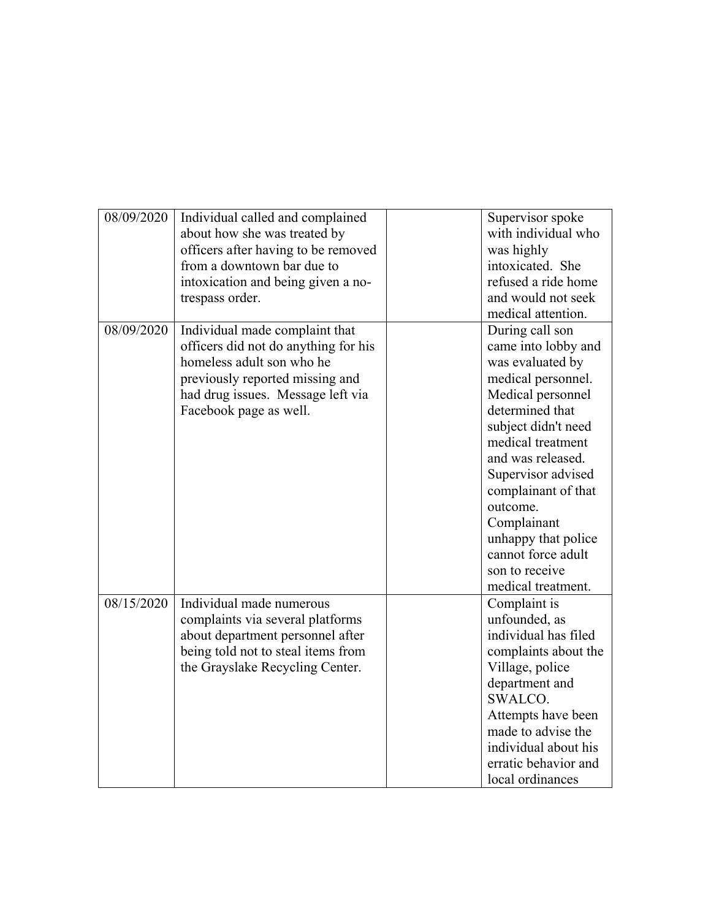| 08/09/2020 | Individual called and complained     | Supervisor spoke     |
|------------|--------------------------------------|----------------------|
|            | about how she was treated by         | with individual who  |
|            | officers after having to be removed  | was highly           |
|            | from a downtown bar due to           | intoxicated. She     |
|            | intoxication and being given a no-   | refused a ride home  |
|            | trespass order.                      | and would not seek   |
|            |                                      | medical attention.   |
| 08/09/2020 | Individual made complaint that       | During call son      |
|            | officers did not do anything for his | came into lobby and  |
|            | homeless adult son who he            | was evaluated by     |
|            | previously reported missing and      | medical personnel.   |
|            | had drug issues. Message left via    | Medical personnel    |
|            | Facebook page as well.               | determined that      |
|            |                                      | subject didn't need  |
|            |                                      | medical treatment    |
|            |                                      | and was released.    |
|            |                                      | Supervisor advised   |
|            |                                      | complainant of that  |
|            |                                      | outcome.             |
|            |                                      | Complainant          |
|            |                                      | unhappy that police  |
|            |                                      | cannot force adult   |
|            |                                      | son to receive       |
|            |                                      | medical treatment.   |
| 08/15/2020 | Individual made numerous             | Complaint is         |
|            | complaints via several platforms     | unfounded, as        |
|            | about department personnel after     | individual has filed |
|            | being told not to steal items from   | complaints about the |
|            | the Grayslake Recycling Center.      | Village, police      |
|            |                                      | department and       |
|            |                                      | SWALCO.              |
|            |                                      | Attempts have been   |
|            |                                      | made to advise the   |
|            |                                      | individual about his |
|            |                                      | erratic behavior and |
|            |                                      | local ordinances     |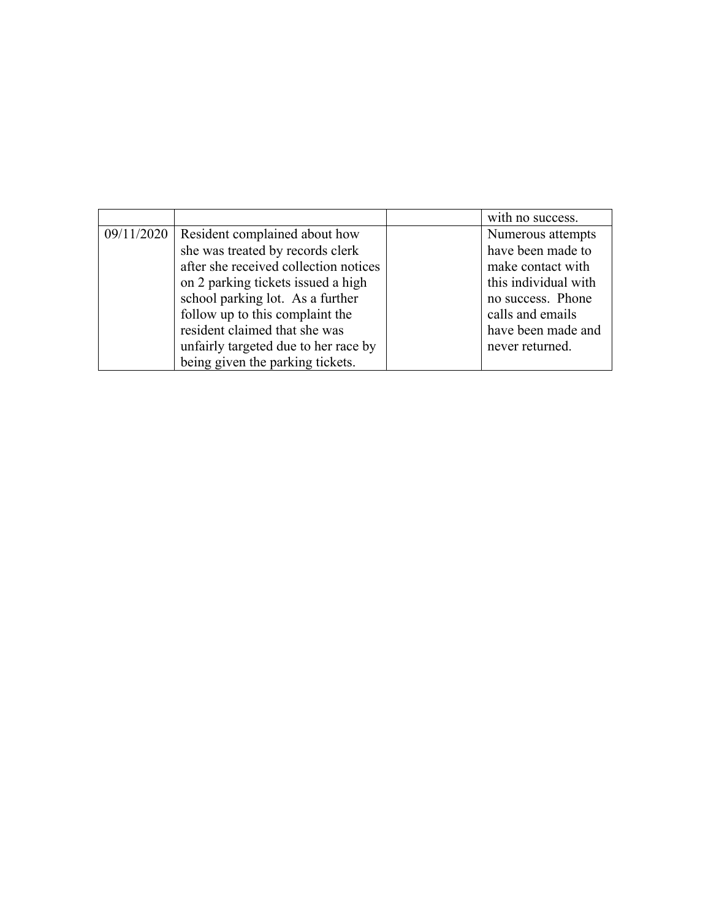|            |                                       | with no success.     |
|------------|---------------------------------------|----------------------|
| 09/11/2020 | Resident complained about how         | Numerous attempts    |
|            | she was treated by records clerk      | have been made to    |
|            | after she received collection notices | make contact with    |
|            | on 2 parking tickets issued a high    | this individual with |
|            | school parking lot. As a further      | no success. Phone    |
|            | follow up to this complaint the       | calls and emails     |
|            | resident claimed that she was         | have been made and   |
|            | unfairly targeted due to her race by  | never returned.      |
|            | being given the parking tickets.      |                      |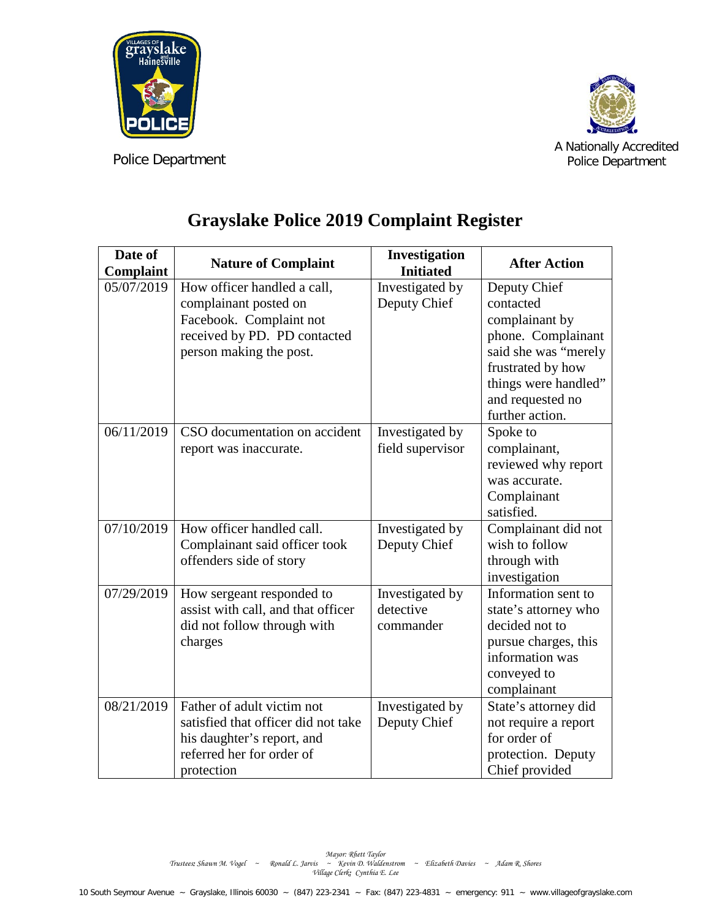



A Nationally Accredited Police Department

| Date of<br>Complaint | <b>Nature of Complaint</b>                              | Investigation<br><b>Initiated</b> | <b>After Action</b>                  |
|----------------------|---------------------------------------------------------|-----------------------------------|--------------------------------------|
| 05/07/2019           | How officer handled a call,                             | Investigated by                   | Deputy Chief                         |
|                      | complainant posted on                                   | Deputy Chief                      | contacted                            |
|                      | Facebook. Complaint not                                 |                                   | complainant by                       |
|                      | received by PD. PD contacted                            |                                   | phone. Complainant                   |
|                      | person making the post.                                 |                                   | said she was "merely                 |
|                      |                                                         |                                   | frustrated by how                    |
|                      |                                                         |                                   | things were handled"                 |
|                      |                                                         |                                   | and requested no                     |
|                      |                                                         |                                   | further action.                      |
| 06/11/2019           | CSO documentation on accident                           | Investigated by                   | Spoke to                             |
|                      | report was inaccurate.                                  | field supervisor                  | complainant,                         |
|                      |                                                         |                                   | reviewed why report                  |
|                      |                                                         |                                   | was accurate.                        |
|                      |                                                         |                                   | Complainant                          |
|                      |                                                         |                                   | satisfied.                           |
| 07/10/2019           | How officer handled call.                               | Investigated by                   | Complainant did not                  |
|                      | Complainant said officer took                           | Deputy Chief                      | wish to follow                       |
|                      | offenders side of story                                 |                                   | through with                         |
|                      |                                                         |                                   | investigation                        |
| 07/29/2019           | How sergeant responded to                               | Investigated by                   | Information sent to                  |
|                      | assist with call, and that officer                      | detective                         | state's attorney who                 |
|                      | did not follow through with                             | commander                         | decided not to                       |
|                      | charges                                                 |                                   | pursue charges, this                 |
|                      |                                                         |                                   | information was                      |
|                      |                                                         |                                   | conveyed to                          |
| 08/21/2019           | Father of adult victim not                              |                                   | complainant                          |
|                      | satisfied that officer did not take                     | Investigated by                   | State's attorney did                 |
|                      |                                                         | Deputy Chief                      | not require a report<br>for order of |
|                      | his daughter's report, and<br>referred her for order of |                                   |                                      |
|                      |                                                         |                                   | protection. Deputy                   |
|                      | protection                                              |                                   | Chief provided                       |

## **Grayslake Police 2019 Complaint Register**

Mayor: Rhett Taylor<br>Trustees: Shawn M. Vogel ~ Ronald L. Jarvis ~ Kevin D. Waldenstrom ~ Elizabeth Davies ~ Adam R. Shores<br>Village Clerk: Cynthia E. Lee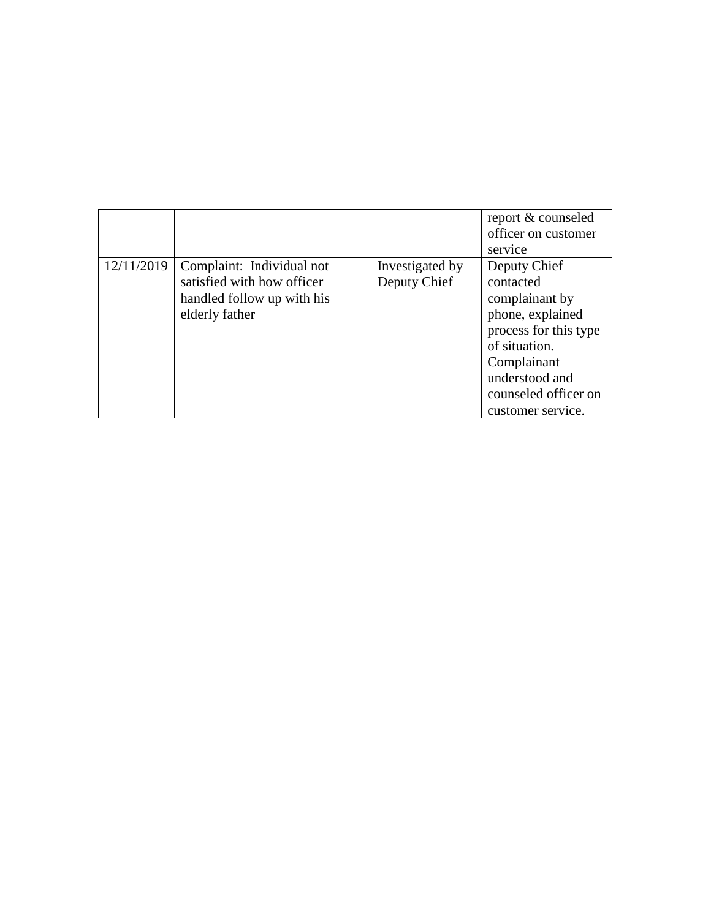|            |                                                                                                         |                                 | report & counseled<br>officer on customer<br>service                                                                                                                                    |
|------------|---------------------------------------------------------------------------------------------------------|---------------------------------|-----------------------------------------------------------------------------------------------------------------------------------------------------------------------------------------|
| 12/11/2019 | Complaint: Individual not<br>satisfied with how officer<br>handled follow up with his<br>elderly father | Investigated by<br>Deputy Chief | Deputy Chief<br>contacted<br>complainant by<br>phone, explained<br>process for this type<br>of situation.<br>Complainant<br>understood and<br>counseled officer on<br>customer service. |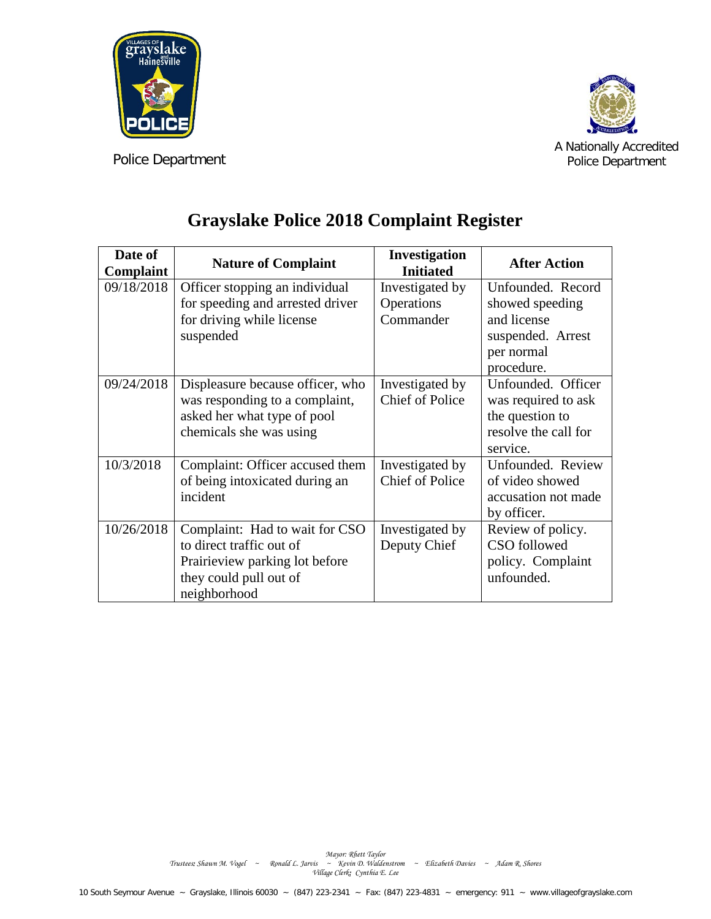



A Nationally Accredited Police Department

## **Grayslake Police 2018 Complaint Register**

| Date of<br>Complaint | <b>Nature of Complaint</b>                                                                                                             | Investigation<br><b>Initiated</b>          | <b>After Action</b>                                                                                  |
|----------------------|----------------------------------------------------------------------------------------------------------------------------------------|--------------------------------------------|------------------------------------------------------------------------------------------------------|
| 09/18/2018           | Officer stopping an individual<br>for speeding and arrested driver<br>for driving while license<br>suspended                           | Investigated by<br>Operations<br>Commander | Unfounded. Record<br>showed speeding<br>and license<br>suspended. Arrest<br>per normal<br>procedure. |
| 09/24/2018           | Displeasure because officer, who<br>was responding to a complaint,<br>asked her what type of pool<br>chemicals she was using           | Investigated by<br><b>Chief of Police</b>  | Unfounded. Officer<br>was required to ask<br>the question to<br>resolve the call for<br>service.     |
| 10/3/2018            | Complaint: Officer accused them<br>of being intoxicated during an<br>incident                                                          | Investigated by<br><b>Chief of Police</b>  | Unfounded. Review<br>of video showed<br>accusation not made<br>by officer.                           |
| 10/26/2018           | Complaint: Had to wait for CSO<br>to direct traffic out of<br>Prairieview parking lot before<br>they could pull out of<br>neighborhood | Investigated by<br>Deputy Chief            | Review of policy.<br>CSO followed<br>policy. Complaint<br>unfounded.                                 |